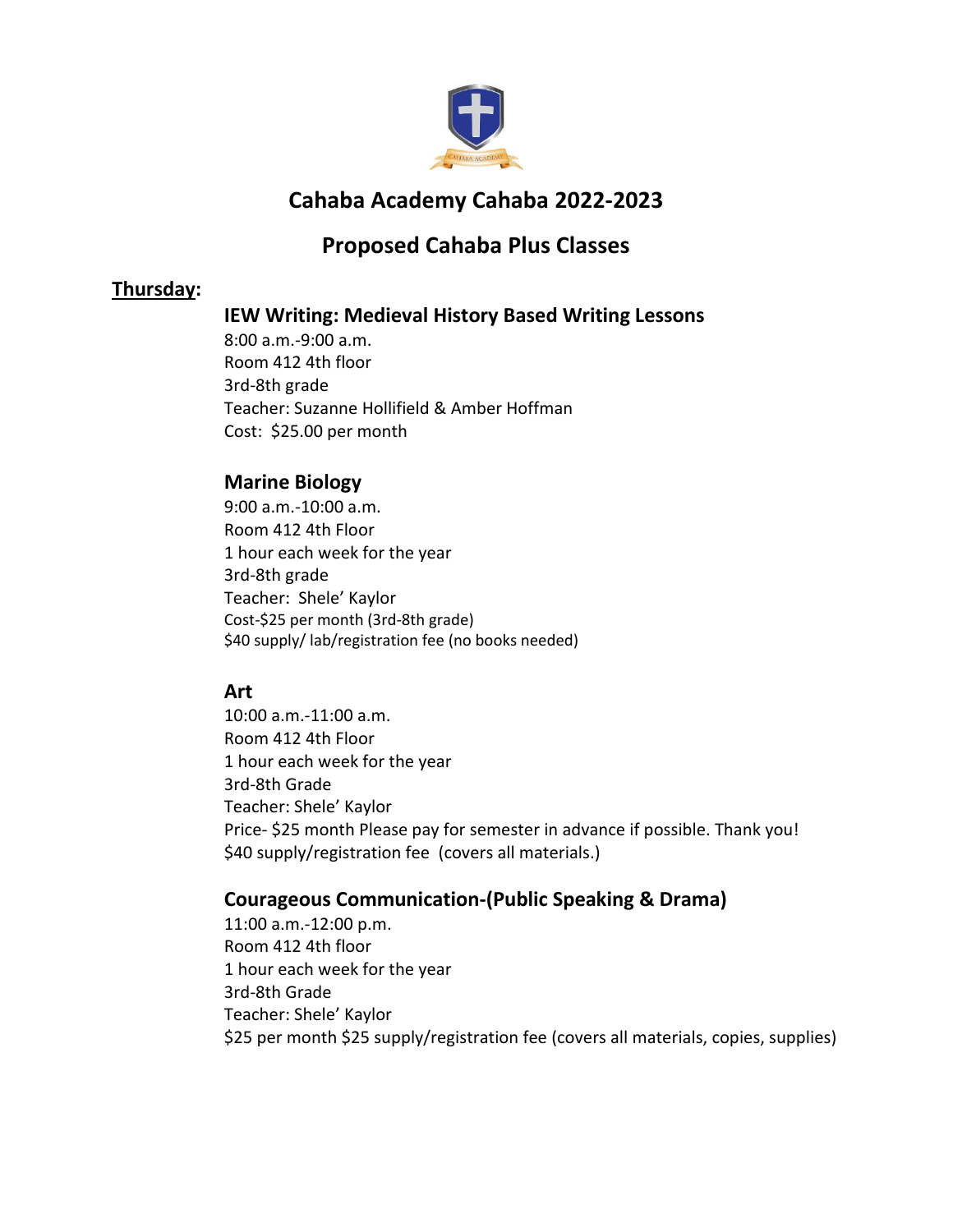

# **Cahaba Academy Cahaba 2022-2023**

## **Proposed Cahaba Plus Classes**

## **Thursday:**

## **IEW Writing: Medieval History Based Writing Lessons**

8:00 a.m.-9:00 a.m. Room 412 4th floor 3rd-8th grade Teacher: Suzanne Hollifield & Amber Hoffman Cost: \$25.00 per month

## **Marine Biology**

9:00 a.m.-10:00 a.m. Room 412 4th Floor 1 hour each week for the year 3rd-8th grade Teacher: Shele' Kaylor Cost-\$25 per month (3rd-8th grade) \$40 supply/ lab/registration fee (no books needed)

### **Art**

10:00 a.m.-11:00 a.m. Room 412 4th Floor 1 hour each week for the year 3rd-8th Grade Teacher: Shele' Kaylor Price- \$25 month Please pay for semester in advance if possible. Thank you! \$40 supply/registration fee (covers all materials.)

### **Courageous Communication-(Public Speaking & Drama)**

 11:00 a.m.-12:00 p.m. Room 412 4th floor 1 hour each week for the year 3rd-8th Grade Teacher: Shele' Kaylor \$25 per month \$25 supply/registration fee (covers all materials, copies, supplies)